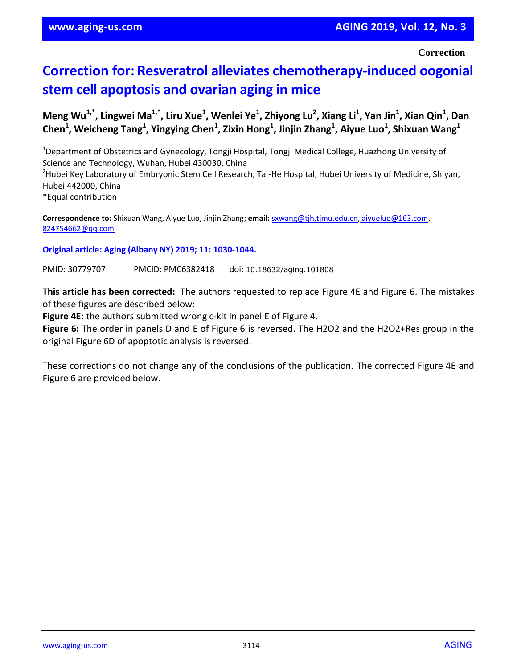**Correction**

## **Correction for: Resveratrol alleviates chemotherapy-induced oogonial stem cell apoptosis and ovarian aging in mice**

Meng Wu<sup>1,\*</sup>, Lingwei Ma<sup>1,\*</sup>, Liru Xue<sup>1</sup>, Wenlei Ye<sup>1</sup>, Zhiyong Lu<sup>2</sup>, Xiang Li<sup>1</sup>, Yan Jin<sup>1</sup>, Xian Qin<sup>1</sup>, Dan **Chen<sup>1</sup> , Weicheng Tang<sup>1</sup> , Yingying Chen<sup>1</sup> , Zixin Hong<sup>1</sup> , Jinjin Zhang<sup>1</sup> , Aiyue Luo<sup>1</sup> , Shixuan Wang<sup>1</sup>**

<sup>1</sup>Department of Obstetrics and Gynecology, Tongji Hospital, Tongji Medical College, Huazhong University of Science and Technology, Wuhan, Hubei 430030, China <sup>2</sup>Hubei Key Laboratory of Embryonic Stem Cell Research, Tai-He Hospital, Hubei University of Medicine, Shiyan, Hubei 442000, China \*Equal contribution

**Correspondence to:** Shixuan Wang, Aiyue Luo, Jinjin Zhang; **email:** [sxwang@tjh.tjmu.edu.cn,](file:///C:/Users/Olga/Desktop/IMPACT%20AGING/2019/Advanced/101808/sxwang@tjh.tjmu.edu.cn,%20aiyueluo@163.com,%20824754662@qq.com) aiyueluo@163.com, [824754662@qq.com](file:///C:/Users/Olga/Desktop/IMPACT%20AGING/2019/Advanced/101808/sxwang@tjh.tjmu.edu.cn,%20aiyueluo@163.com,%20824754662@qq.com)

## **Original article: Aging (Albany NY) 2019; 11: 1030-1044.**

PMID: 30779707 PMCID: PMC6382418 doi: 10.18632/aging.101808

**This article has been corrected:** The authors requested to replace Figure 4E and Figure 6. The mistakes of these figures are described below:

**Figure 4E:** the authors submitted wrong c-kit in panel E of Figure 4.

**Figure 6:** The order in panels D and E of Figure 6 is reversed. The H2O2 and the H2O2+Res group in the original Figure 6D of apoptotic analysis is reversed.

These corrections do not change any of the conclusions of the publication. The corrected Figure 4E and Figure 6 are provided below.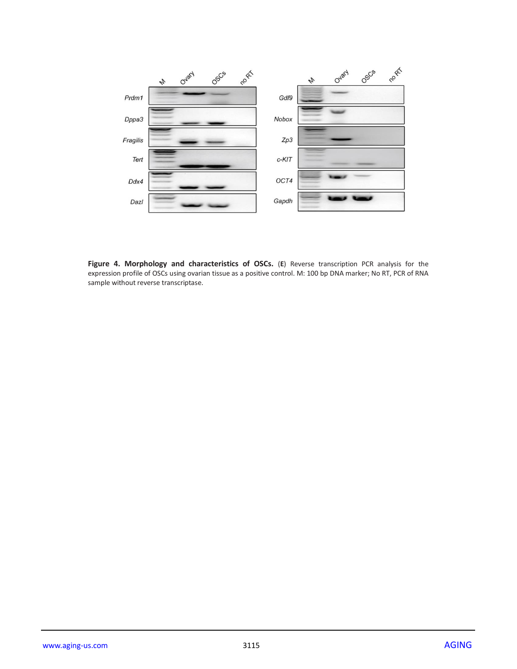

**Figure 4. Morphology and characteristics of OSCs.** (**E**) Reverse transcription PCR analysis for the expression profile of OSCs using ovarian tissue as a positive control. M: 100 bp DNA marker; No RT, PCR of RNA sample without reverse transcriptase.